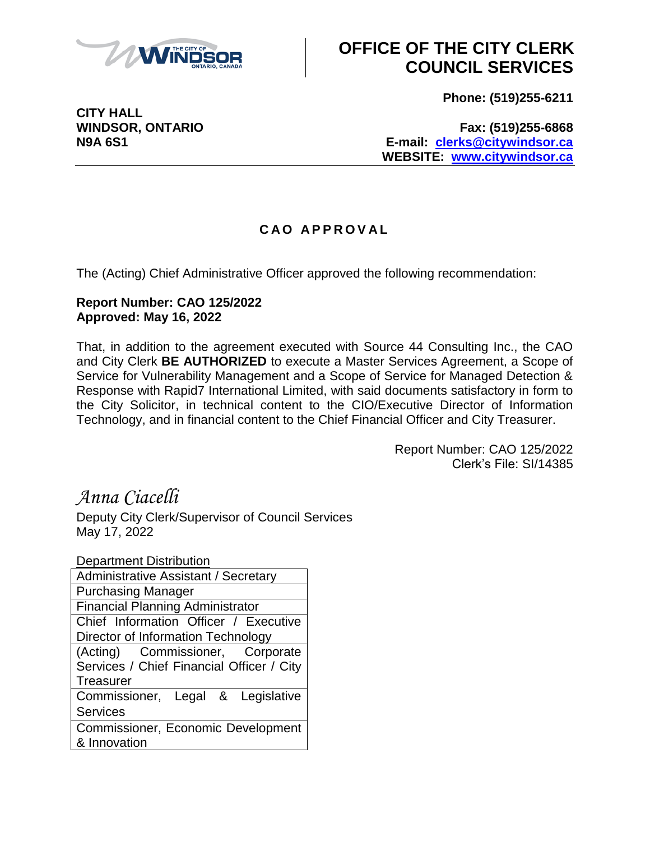

## **OFFICE OF THE CITY CLERK COUNCIL SERVICES**

**Phone: (519)255-6211**

**CITY HALL**

#### **WINDSOR, ONTARIO Fax: (519)255-6868 N9A 6S1 E-mail: [clerks@citywindsor.ca](mailto:clerks@citywindsor.ca) WEBSITE: [www.citywindsor.ca](http://www.citywindsor.ca/)**

### **C A O A P P R O V A L**

The (Acting) Chief Administrative Officer approved the following recommendation:

#### **Report Number: CAO 125/2022 Approved: May 16, 2022**

That, in addition to the agreement executed with Source 44 Consulting Inc., the CAO and City Clerk **BE AUTHORIZED** to execute a Master Services Agreement, a Scope of Service for Vulnerability Management and a Scope of Service for Managed Detection & Response with Rapid7 International Limited, with said documents satisfactory in form to the City Solicitor, in technical content to the CIO/Executive Director of Information Technology, and in financial content to the Chief Financial Officer and City Treasurer.

> Report Number: CAO 125/2022 Clerk's File: SI/14385

## *Anna Ciacelli*

Deputy City Clerk/Supervisor of Council Services May 17, 2022

| <b>Department Distribution</b>            |
|-------------------------------------------|
| Administrative Assistant / Secretary      |
| <b>Purchasing Manager</b>                 |
| <b>Financial Planning Administrator</b>   |
| Chief Information Officer / Executive     |
| Director of Information Technology        |
| (Acting) Commissioner, Corporate          |
| Services / Chief Financial Officer / City |
| Treasurer                                 |
| Commissioner, Legal & Legislative         |
| <b>Services</b>                           |
| <b>Commissioner, Economic Development</b> |
| & Innovation                              |